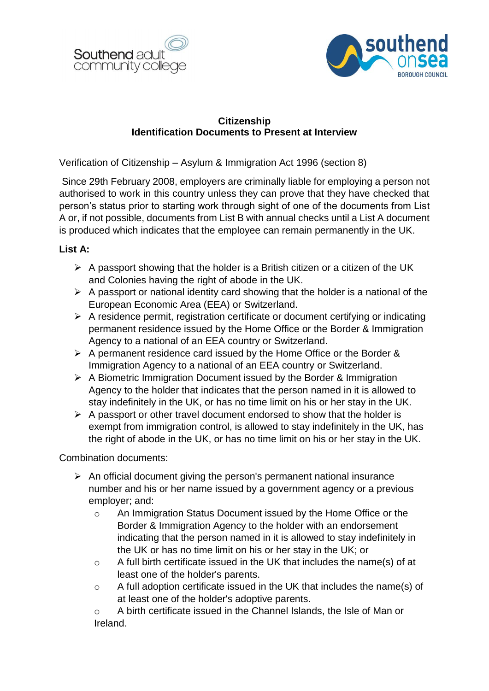



## **Citizenship Identification Documents to Present at Interview**

Verification of Citizenship – Asylum & Immigration Act 1996 (section 8)

Since 29th February 2008, employers are criminally liable for employing a person not authorised to work in this country unless they can prove that they have checked that person's status prior to starting work through sight of one of the documents from List A or, if not possible, documents from List B with annual checks until a List A document is produced which indicates that the employee can remain permanently in the UK.

## **List A:**

- $\triangleright$  A passport showing that the holder is a British citizen or a citizen of the UK and Colonies having the right of abode in the UK.
- $\triangleright$  A passport or national identity card showing that the holder is a national of the European Economic Area (EEA) or Switzerland.
- $\triangleright$  A residence permit, registration certificate or document certifying or indicating permanent residence issued by the Home Office or the Border & Immigration Agency to a national of an EEA country or Switzerland.
- $\triangleright$  A permanent residence card issued by the Home Office or the Border & Immigration Agency to a national of an EEA country or Switzerland.
- $\triangleright$  A Biometric Immigration Document issued by the Border & Immigration Agency to the holder that indicates that the person named in it is allowed to stay indefinitely in the UK, or has no time limit on his or her stay in the UK.
- $\triangleright$  A passport or other travel document endorsed to show that the holder is exempt from immigration control, is allowed to stay indefinitely in the UK, has the right of abode in the UK, or has no time limit on his or her stay in the UK.

Combination documents:

- $\triangleright$  An official document giving the person's permanent national insurance number and his or her name issued by a government agency or a previous employer; and:
	- o An Immigration Status Document issued by the Home Office or the Border & Immigration Agency to the holder with an endorsement indicating that the person named in it is allowed to stay indefinitely in the UK or has no time limit on his or her stay in the UK; or
	- o A full birth certificate issued in the UK that includes the name(s) of at least one of the holder's parents.
	- o A full adoption certificate issued in the UK that includes the name(s) of at least one of the holder's adoptive parents.
	- o A birth certificate issued in the Channel Islands, the Isle of Man or Ireland.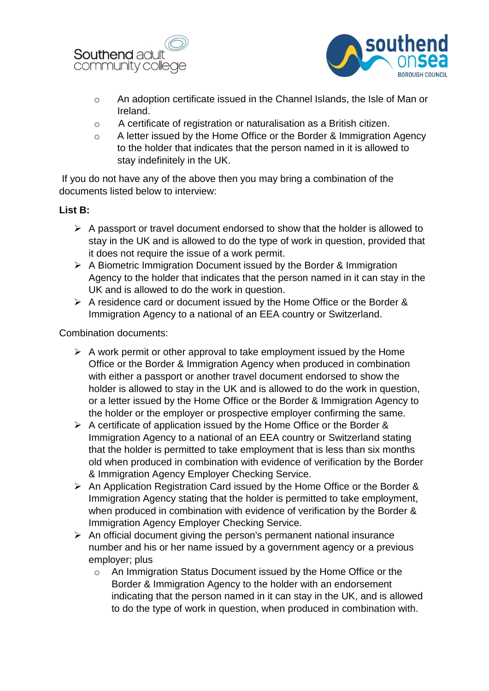



- o An adoption certificate issued in the Channel Islands, the Isle of Man or Ireland.
- o A certificate of registration or naturalisation as a British citizen.
- o A letter issued by the Home Office or the Border & Immigration Agency to the holder that indicates that the person named in it is allowed to stay indefinitely in the UK.

If you do not have any of the above then you may bring a combination of the documents listed below to interview:

## **List B:**

- $\triangleright$  A passport or travel document endorsed to show that the holder is allowed to stay in the UK and is allowed to do the type of work in question, provided that it does not require the issue of a work permit.
- $\triangleright$  A Biometric Immigration Document issued by the Border & Immigration Agency to the holder that indicates that the person named in it can stay in the UK and is allowed to do the work in question.
- $\triangleright$  A residence card or document issued by the Home Office or the Border & Immigration Agency to a national of an EEA country or Switzerland.

Combination documents:

- $\triangleright$  A work permit or other approval to take employment issued by the Home Office or the Border & Immigration Agency when produced in combination with either a passport or another travel document endorsed to show the holder is allowed to stay in the UK and is allowed to do the work in question, or a letter issued by the Home Office or the Border & Immigration Agency to the holder or the employer or prospective employer confirming the same.
- $\triangleright$  A certificate of application issued by the Home Office or the Border & Immigration Agency to a national of an EEA country or Switzerland stating that the holder is permitted to take employment that is less than six months old when produced in combination with evidence of verification by the Border & Immigration Agency Employer Checking Service.
- $\triangleright$  An Application Registration Card issued by the Home Office or the Border & Immigration Agency stating that the holder is permitted to take employment, when produced in combination with evidence of verification by the Border & Immigration Agency Employer Checking Service.
- $\triangleright$  An official document giving the person's permanent national insurance number and his or her name issued by a government agency or a previous employer; plus
	- o An Immigration Status Document issued by the Home Office or the Border & Immigration Agency to the holder with an endorsement indicating that the person named in it can stay in the UK, and is allowed to do the type of work in question, when produced in combination with.